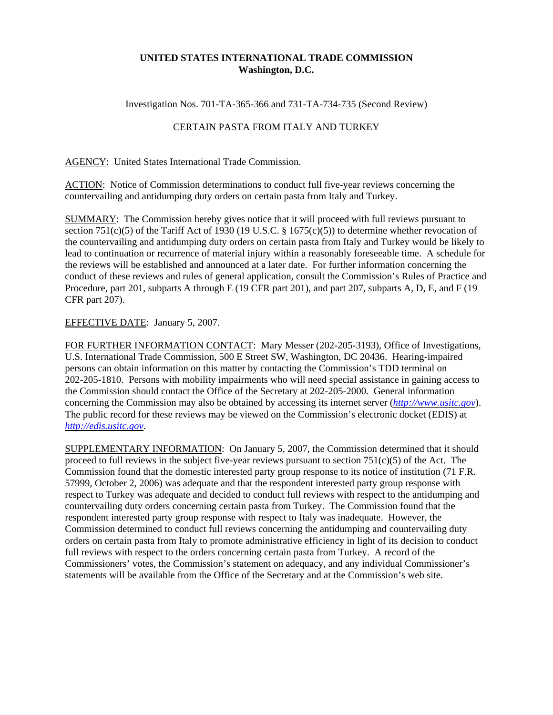## **UNITED STATES INTERNATIONAL TRADE COMMISSION Washington, D.C.**

Investigation Nos. 701-TA-365-366 and 731-TA-734-735 (Second Review)

## CERTAIN PASTA FROM ITALY AND TURKEY

AGENCY: United States International Trade Commission.

ACTION: Notice of Commission determinations to conduct full five-year reviews concerning the countervailing and antidumping duty orders on certain pasta from Italy and Turkey.

SUMMARY: The Commission hereby gives notice that it will proceed with full reviews pursuant to section 751(c)(5) of the Tariff Act of 1930 (19 U.S.C.  $\S$  1675(c)(5)) to determine whether revocation of the countervailing and antidumping duty orders on certain pasta from Italy and Turkey would be likely to lead to continuation or recurrence of material injury within a reasonably foreseeable time. A schedule for the reviews will be established and announced at a later date. For further information concerning the conduct of these reviews and rules of general application, consult the Commission's Rules of Practice and Procedure, part 201, subparts A through E (19 CFR part 201), and part 207, subparts A, D, E, and F (19 CFR part 207).

## EFFECTIVE DATE: January 5, 2007.

FOR FURTHER INFORMATION CONTACT: Mary Messer (202-205-3193), Office of Investigations, U.S. International Trade Commission, 500 E Street SW, Washington, DC 20436. Hearing-impaired persons can obtain information on this matter by contacting the Commission's TDD terminal on 202-205-1810. Persons with mobility impairments who will need special assistance in gaining access to the Commission should contact the Office of the Secretary at 202-205-2000. General information concerning the Commission may also be obtained by accessing its internet server (*http://www.usitc.gov*). The public record for these reviews may be viewed on the Commission's electronic docket (EDIS) at *http://edis.usitc.gov*.

SUPPLEMENTARY INFORMATION: On January 5, 2007, the Commission determined that it should proceed to full reviews in the subject five-year reviews pursuant to section  $751(c)(5)$  of the Act. The Commission found that the domestic interested party group response to its notice of institution (71 F.R. 57999, October 2, 2006) was adequate and that the respondent interested party group response with respect to Turkey was adequate and decided to conduct full reviews with respect to the antidumping and countervailing duty orders concerning certain pasta from Turkey. The Commission found that the respondent interested party group response with respect to Italy was inadequate. However, the Commission determined to conduct full reviews concerning the antidumping and countervailing duty orders on certain pasta from Italy to promote administrative efficiency in light of its decision to conduct full reviews with respect to the orders concerning certain pasta from Turkey. A record of the Commissioners' votes, the Commission's statement on adequacy, and any individual Commissioner's statements will be available from the Office of the Secretary and at the Commission's web site.